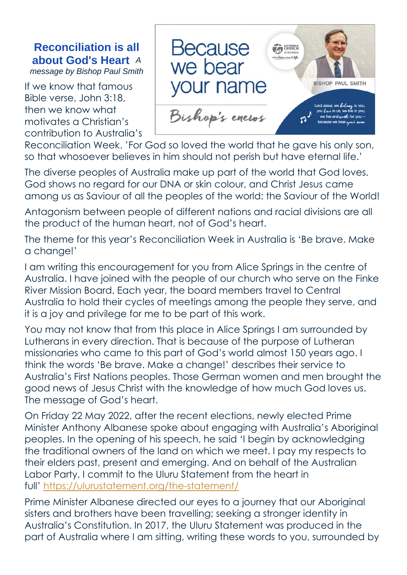## **Reconciliation is all about God's Heart** *A*

*message by Bishop Paul Smith*

If we know that famous Bible verse, John 3:18, then we know what motivates a Christian's contribution to Australia's



Reconciliation Week. 'For God so loved the world that he gave his only son, so that whosoever believes in him should not perish but have eternal life.'

The diverse peoples of Australia make up part of the world that God loves. God shows no regard for our DNA or skin colour, and Christ Jesus came among us as Saviour of all the peoples of the world: the Saviour of the World!

Antagonism between people of different nations and racial divisions are all the product of the human heart, not of God's heart.

The theme for this year's Reconciliation Week in Australia is 'Be brave. Make a change!'

I am writing this encouragement for you from Alice Springs in the centre of Australia. I have joined with the people of our church who serve on the Finke River Mission Board. Each year, the board members travel to Central Australia to hold their cycles of meetings among the people they serve, and it is a joy and privilege for me to be part of this work.

You may not know that from this place in Alice Springs I am surrounded by Lutherans in every direction. That is because of the purpose of Lutheran missionaries who came to this part of God's world almost 150 years ago. I think the words 'Be brave. Make a change!' describes their service to Australia's First Nations peoples. Those German women and men brought the good news of Jesus Christ with the knowledge of how much God loves us. The message of God's heart.

On Friday 22 May 2022, after the recent elections, newly elected Prime Minister Anthony Albanese spoke about engaging with Australia's Aboriginal peoples. In the opening of his speech, he said 'I begin by acknowledging the traditional owners of the land on which we meet. I pay my respects to their elders past, present and emerging. And on behalf of the Australian Labor Party, I commit to the Uluru Statement from the heart in full' https://ulurustatement.org/the-statement/

Prime Minister Albanese directed our eyes to a journey that our Aboriginal sisters and brothers have been travelling; seeking a stronger identity in Australia's Constitution. In 2017, the Uluru Statement was produced in the part of Australia where I am sitting, writing these words to you, surrounded by